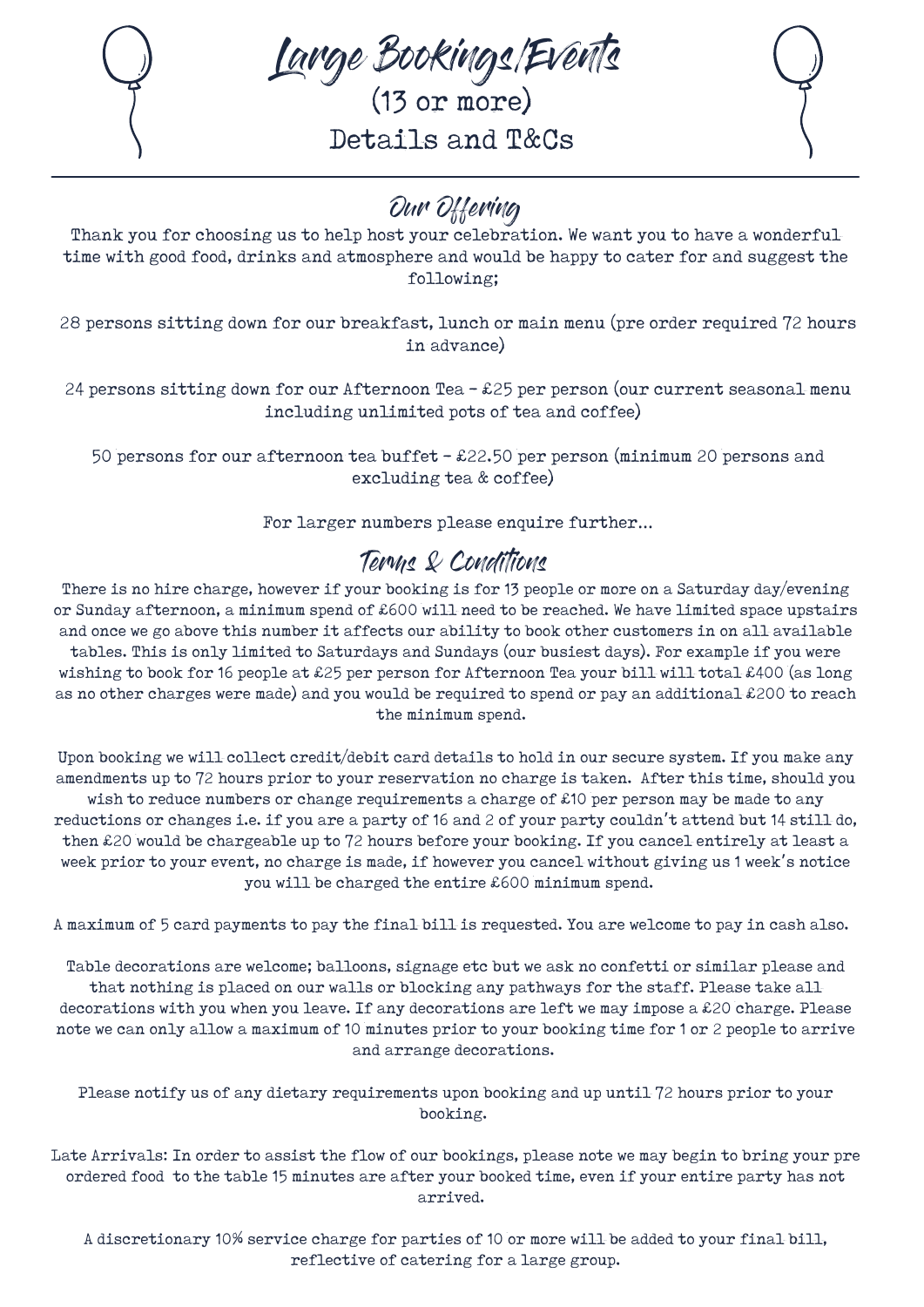

Large Bookings/Events

(13 or more) Details and T&Cs

# Our Offering

Thank you for choosing us to help host your celebration. We want you to have a wonderfultime with good food, drinks and atmosphere and would be happy to cater for and suggest the following;

28 persons sitting down for our breakfast, lunch or main menu (pre order required 72 hours in advance)

24 persons sitting down for our Afternoon Tea - £25 per person (our current seasonal menu including unlimited pots of tea and coffee)

50 persons for our afternoon tea buffet - £22.50 per person (minimum 20 persons and excluding tea & coffee)

For larger numbers please enquire further...

### Terms & Conditions

There is no hire charge, however if your booking is for 13 people or more on a Saturday day/evening or Sunday afternoon, a minimum spend of £600 will need to be reached. We have limited space upstairs and once we go above this number it affects our ability to book other customers in on all available tables. This is only limited to Saturdays and Sundays (our busiest days). For example if you were wishing to book for 16 people at £25 per person for Afternoon Tea your bill will total £400 (as long as no other charges were made) and you would be required to spend or pay an additional £200 to reach the minimum spend.

Upon booking we will collect credit/debit card details to hold in our secure system. If you make any amendments up to 72 hours prior to your reservation no charge is taken. After this time, should you wish to reduce numbers or change requirements a charge of £10 per person may be made to any reductions or changes i.e. if you are a party of 16 and 2 of your party couldn 't attend but 14 still do, then £20 would be chargeable up to 72 hours before your booking. If you cancel entirely at least a week prior to your event, no charge is made, if however you cancel without giving us 1 week' s notice you will be charged the entire £600 minimum spend.

A maximum of 5 card payments to pay the final bill is requested. You are welcome to pay in cash also.

Table decorations are welcome; balloons, signage etc but we ask no confetti or similar please and that nothing is placed on our walls or blocking any pathways for the staff. Please take all decorations with you when you leave. If any decorations are left we may impose a £20 charge. Please note we can only allow a maximum of 10 minutes prior to your booking time for 1 or 2 people to arrive and arrange decorations.

Please notify us of any dietary requirements upon booking and up until 72 hours prior to your booking.

Late Arrivals: In order to assist the flow of our bookings, please note we may begin to bring your pre ordered food to the table 15 minutes are after your booked time, even if your entire party has not arrived.

A discretionary 10% service charge for parties of 10 or more will be added to your final bill, reflective of catering for a large group.